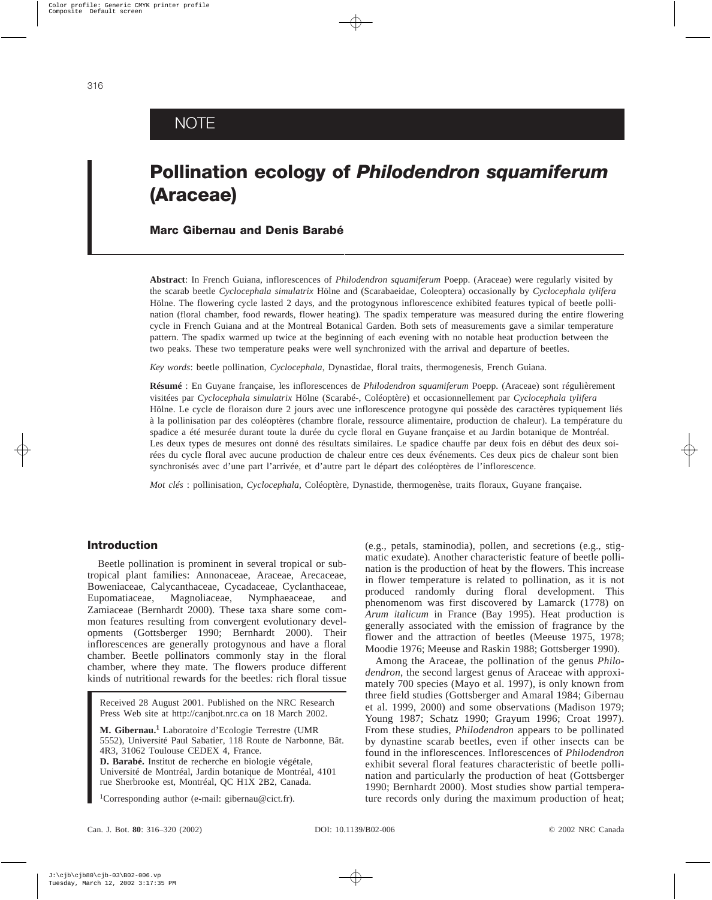# **NOTE**

# **Pollination ecology of** *Philodendron squamiferum* **(Araceae)**

# **Marc Gibernau and Denis Barabé**

**Abstract**: In French Guiana, inflorescences of *Philodendron squamiferum* Poepp. (Araceae) were regularly visited by the scarab beetle *Cyclocephala simulatrix* Hölne and (Scarabaeidae, Coleoptera) occasionally by *Cyclocephala tylifera* Hölne. The flowering cycle lasted 2 days, and the protogynous inflorescence exhibited features typical of beetle pollination (floral chamber, food rewards, flower heating). The spadix temperature was measured during the entire flowering cycle in French Guiana and at the Montreal Botanical Garden. Both sets of measurements gave a similar temperature pattern. The spadix warmed up twice at the beginning of each evening with no notable heat production between the two peaks. These two temperature peaks were well synchronized with the arrival and departure of beetles.

*Key words*: beetle pollination, *Cyclocephala*, Dynastidae, floral traits, thermogenesis, French Guiana.

**Résumé** : En Guyane française, les inflorescences de *Philodendron squamiferum* Poepp. (Araceae) sont régulièrement visitées par *Cyclocephala simulatrix* Hölne (Scarabé-, Coléoptère) et occasionnellement par *Cyclocephala tylifera* Hölne. Le cycle de floraison dure 2 jours avec une inflorescence protogyne qui possède des caractères typiquement liés à la pollinisation par des coléoptères (chambre florale, ressource alimentaire, production de chaleur). La température du spadice a été mesurée durant toute la durée du cycle floral en Guyane française et au Jardin botanique de Montréal. Les deux types de mesures ont donné des résultats similaires. Le spadice chauffe par deux fois en début des deux soirées du cycle floral avec aucune production de chaleur entre ces deux événements. Ces deux pics de chaleur sont bien synchronisés avec d'une part l'arrivée, et d'autre part le départ des coléoptères de l'inflorescence.

*Mot clés* : pollinisation, *Cyclocephala*, Coléoptère, Dynastide, thermogenèse, traits floraux, Guyane française.

# **Introduction**

Beetle pollination is prominent in several tropical or subtropical plant families: Annonaceae, Araceae, Arecaceae, Boweniaceae, Calycanthaceae, Cycadaceae, Cyclanthaceae, Eupomatiaceae, Magnoliaceae, Nymphaeaceae, and Zamiaceae (Bernhardt 2000). These taxa share some common features resulting from convergent evolutionary developments (Gottsberger 1990; Bernhardt 2000). Their inflorescences are generally protogynous and have a floral chamber. Beetle pollinators commonly stay in the floral chamber, where they mate. The flowers produce different kinds of nutritional rewards for the beetles: rich floral tissue

Received 28 August 2001. Published on the NRC Research Press Web site at http://canjbot.nrc.ca on 18 March 2002.

**M. Gibernau.<sup>1</sup>** Laboratoire d'Ecologie Terrestre (UMR 5552), Université Paul Sabatier, 118 Route de Narbonne, Bât. 4R3, 31062 Toulouse CEDEX 4, France. **D. Barabé.** Institut de recherche en biologie végétale, Université de Montréal, Jardin botanique de Montréal, 4101 rue Sherbrooke est, Montréal, QC H1X 2B2, Canada.

<sup>1</sup>Corresponding author (e-mail: gibernau@cict.fr).

(e.g., petals, staminodia), pollen, and secretions (e.g., stigmatic exudate). Another characteristic feature of beetle pollination is the production of heat by the flowers. This increase in flower temperature is related to pollination, as it is not produced randomly during floral development. This phenomenom was first discovered by Lamarck (1778) on *Arum italicum* in France (Bay 1995). Heat production is generally associated with the emission of fragrance by the flower and the attraction of beetles (Meeuse 1975, 1978; Moodie 1976; Meeuse and Raskin 1988; Gottsberger 1990).

Among the Araceae, the pollination of the genus *Philodendron*, the second largest genus of Araceae with approximately 700 species (Mayo et al. 1997), is only known from three field studies (Gottsberger and Amaral 1984; Gibernau et al. 1999, 2000) and some observations (Madison 1979; Young 1987; Schatz 1990; Grayum 1996; Croat 1997). From these studies, *Philodendron* appears to be pollinated by dynastine scarab beetles, even if other insects can be found in the inflorescences. Inflorescences of *Philodendron* exhibit several floral features characteristic of beetle pollination and particularly the production of heat (Gottsberger 1990; Bernhardt 2000). Most studies show partial temperature records only during the maximum production of heat;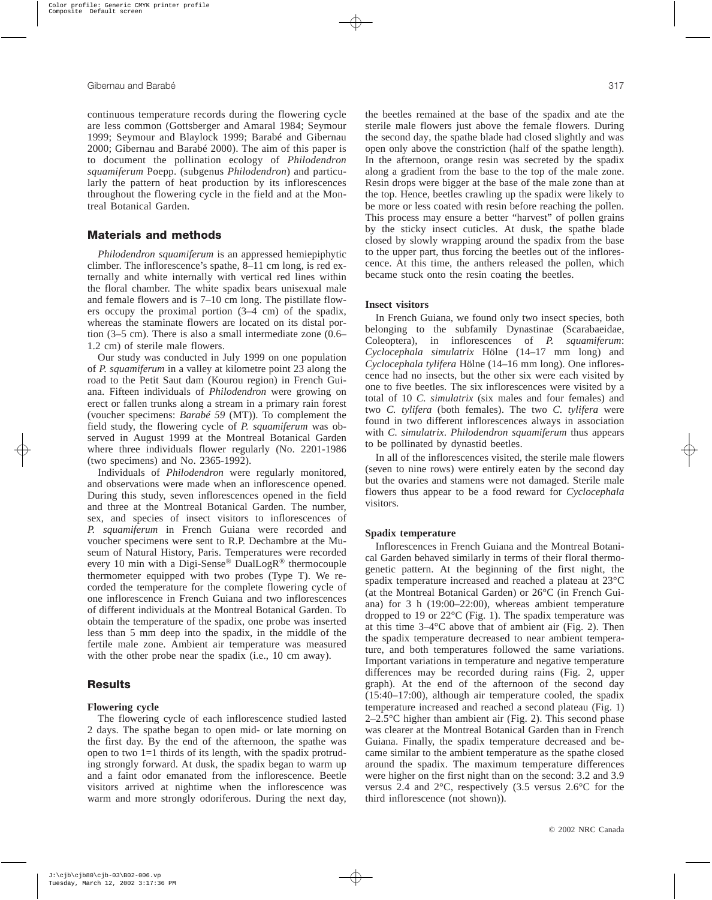continuous temperature records during the flowering cycle are less common (Gottsberger and Amaral 1984; Seymour 1999; Seymour and Blaylock 1999; Barabé and Gibernau 2000; Gibernau and Barabé 2000). The aim of this paper is to document the pollination ecology of *Philodendron squamiferum* Poepp. (subgenus *Philodendron*) and particularly the pattern of heat production by its inflorescences throughout the flowering cycle in the field and at the Montreal Botanical Garden.

# **Materials and methods**

*Philodendron squamiferum* is an appressed hemiepiphytic climber. The inflorescence's spathe, 8–11 cm long, is red externally and white internally with vertical red lines within the floral chamber. The white spadix bears unisexual male and female flowers and is 7–10 cm long. The pistillate flowers occupy the proximal portion (3–4 cm) of the spadix, whereas the staminate flowers are located on its distal portion (3–5 cm). There is also a small intermediate zone (0.6– 1.2 cm) of sterile male flowers.

Our study was conducted in July 1999 on one population of *P. squamiferum* in a valley at kilometre point 23 along the road to the Petit Saut dam (Kourou region) in French Guiana. Fifteen individuals of *Philodendron* were growing on erect or fallen trunks along a stream in a primary rain forest (voucher specimens: *Barabé 59* (MT)). To complement the field study, the flowering cycle of *P. squamiferum* was observed in August 1999 at the Montreal Botanical Garden where three individuals flower regularly (No. 2201-1986 (two specimens) and No. 2365-1992).

Individuals of *Philodendron* were regularly monitored, and observations were made when an inflorescence opened. During this study, seven inflorescences opened in the field and three at the Montreal Botanical Garden. The number, sex, and species of insect visitors to inflorescences of *P. squamiferum* in French Guiana were recorded and voucher specimens were sent to R.P. Dechambre at the Museum of Natural History, Paris. Temperatures were recorded every 10 min with a Digi-Sense® DualLogR® thermocouple thermometer equipped with two probes (Type T). We recorded the temperature for the complete flowering cycle of one inflorescence in French Guiana and two inflorescences of different individuals at the Montreal Botanical Garden. To obtain the temperature of the spadix, one probe was inserted less than 5 mm deep into the spadix, in the middle of the fertile male zone. Ambient air temperature was measured with the other probe near the spadix (i.e., 10 cm away).

# **Results**

#### **Flowering cycle**

The flowering cycle of each inflorescence studied lasted 2 days. The spathe began to open mid- or late morning on the first day. By the end of the afternoon, the spathe was open to two 1=1 thirds of its length, with the spadix protruding strongly forward. At dusk, the spadix began to warm up and a faint odor emanated from the inflorescence. Beetle visitors arrived at nightime when the inflorescence was warm and more strongly odoriferous. During the next day, the beetles remained at the base of the spadix and ate the sterile male flowers just above the female flowers. During the second day, the spathe blade had closed slightly and was open only above the constriction (half of the spathe length). In the afternoon, orange resin was secreted by the spadix along a gradient from the base to the top of the male zone. Resin drops were bigger at the base of the male zone than at the top. Hence, beetles crawling up the spadix were likely to be more or less coated with resin before reaching the pollen. This process may ensure a better "harvest" of pollen grains by the sticky insect cuticles. At dusk, the spathe blade closed by slowly wrapping around the spadix from the base to the upper part, thus forcing the beetles out of the inflorescence. At this time, the anthers released the pollen, which became stuck onto the resin coating the beetles.

#### **Insect visitors**

In French Guiana, we found only two insect species, both belonging to the subfamily Dynastinae (Scarabaeidae, Coleoptera), in inflorescences of *P. squamiferum*: *Cyclocephala simulatrix* Hölne (14–17 mm long) and *Cyclocephala tylifera* Hölne (14–16 mm long). One inflorescence had no insects, but the other six were each visited by one to five beetles. The six inflorescences were visited by a total of 10 *C. simulatrix* (six males and four females) and two *C. tylifera* (both females). The two *C. tylifera* were found in two different inflorescences always in association with *C. simulatrix*. *Philodendron squamiferum* thus appears to be pollinated by dynastid beetles.

In all of the inflorescences visited, the sterile male flowers (seven to nine rows) were entirely eaten by the second day but the ovaries and stamens were not damaged. Sterile male flowers thus appear to be a food reward for *Cyclocephala* visitors.

#### **Spadix temperature**

Inflorescences in French Guiana and the Montreal Botanical Garden behaved similarly in terms of their floral thermogenetic pattern. At the beginning of the first night, the spadix temperature increased and reached a plateau at 23°C (at the Montreal Botanical Garden) or 26°C (in French Guiana) for 3 h (19:00–22:00), whereas ambient temperature dropped to 19 or 22°C (Fig. 1). The spadix temperature was at this time 3–4°C above that of ambient air (Fig. 2). Then the spadix temperature decreased to near ambient temperature, and both temperatures followed the same variations. Important variations in temperature and negative temperature differences may be recorded during rains (Fig. 2, upper graph). At the end of the afternoon of the second day (15:40–17:00), although air temperature cooled, the spadix temperature increased and reached a second plateau (Fig. 1) 2–2.5°C higher than ambient air (Fig. 2). This second phase was clearer at the Montreal Botanical Garden than in French Guiana. Finally, the spadix temperature decreased and became similar to the ambient temperature as the spathe closed around the spadix. The maximum temperature differences were higher on the first night than on the second: 3.2 and 3.9 versus 2.4 and 2°C, respectively (3.5 versus 2.6°C for the third inflorescence (not shown)).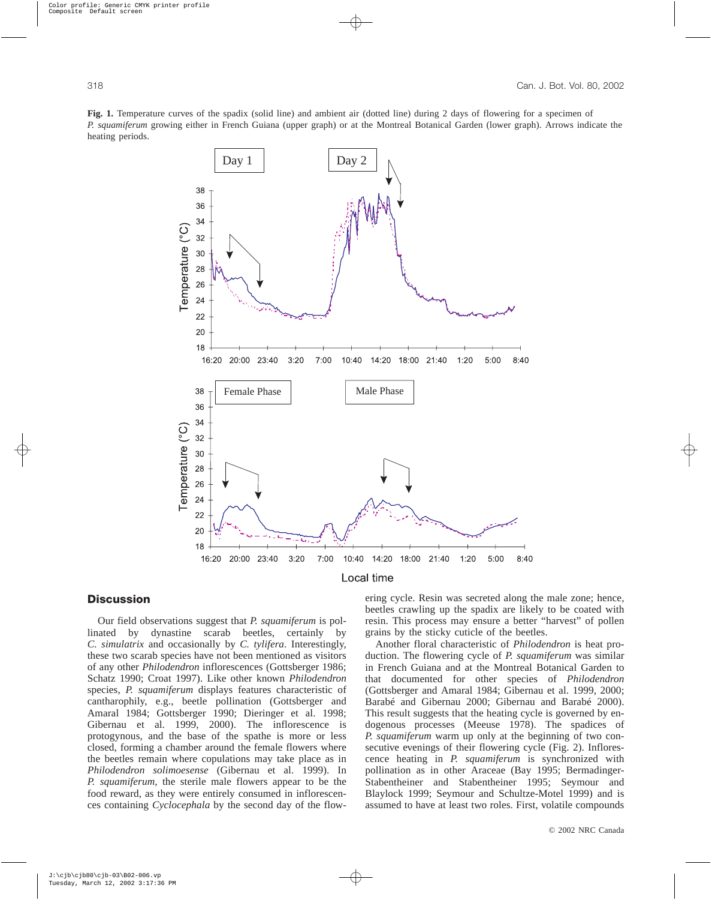**Fig. 1.** Temperature curves of the spadix (solid line) and ambient air (dotted line) during 2 days of flowering for a specimen of *P. squamiferum* growing either in French Guiana (upper graph) or at the Montreal Botanical Garden (lower graph). Arrows indicate the heating periods.



# **Discussion**

Our field observations suggest that *P. squamiferum* is pollinated by dynastine scarab beetles, certainly by *C. simulatrix* and occasionally by *C. tylifera*. Interestingly, these two scarab species have not been mentioned as visitors of any other *Philodendron* inflorescences (Gottsberger 1986; Schatz 1990; Croat 1997). Like other known *Philodendron* species, *P. squamiferum* displays features characteristic of cantharophily, e.g., beetle pollination (Gottsberger and Amaral 1984; Gottsberger 1990; Dieringer et al. 1998; Gibernau et al. 1999, 2000). The inflorescence is protogynous, and the base of the spathe is more or less closed, forming a chamber around the female flowers where the beetles remain where copulations may take place as in *Philodendron solimoesense* (Gibernau et al. 1999). In *P. squamiferum*, the sterile male flowers appear to be the food reward, as they were entirely consumed in inflorescences containing *Cyclocephala* by the second day of the flowering cycle. Resin was secreted along the male zone; hence, beetles crawling up the spadix are likely to be coated with resin. This process may ensure a better "harvest" of pollen grains by the sticky cuticle of the beetles.

Another floral characteristic of *Philodendron* is heat production. The flowering cycle of *P. squamiferum* was similar in French Guiana and at the Montreal Botanical Garden to that documented for other species of *Philodendron* (Gottsberger and Amaral 1984; Gibernau et al. 1999, 2000; Barabé and Gibernau 2000; Gibernau and Barabé 2000). This result suggests that the heating cycle is governed by endogenous processes (Meeuse 1978). The spadices of *P. squamiferum* warm up only at the beginning of two consecutive evenings of their flowering cycle (Fig. 2). Inflorescence heating in *P. squamiferum* is synchronized with pollination as in other Araceae (Bay 1995; Bermadinger-Stabentheiner and Stabentheiner 1995; Seymour and Blaylock 1999; Seymour and Schultze-Motel 1999) and is assumed to have at least two roles. First, volatile compounds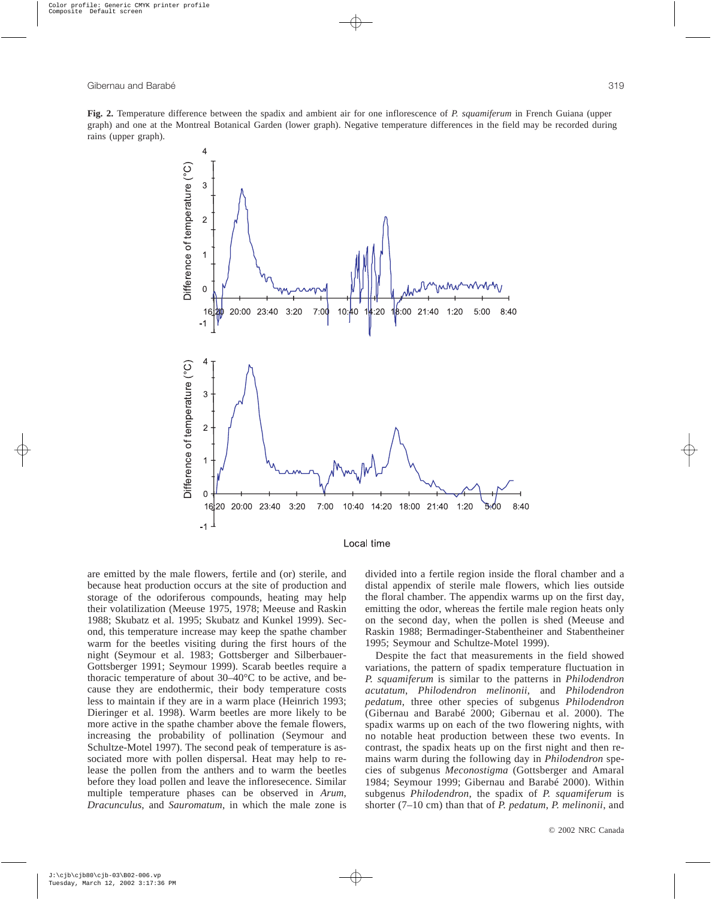**Fig. 2.** Temperature difference between the spadix and ambient air for one inflorescence of *P. squamiferum* in French Guiana (upper graph) and one at the Montreal Botanical Garden (lower graph). Negative temperature differences in the field may be recorded during rains (upper graph).



Local time

are emitted by the male flowers, fertile and (or) sterile, and because heat production occurs at the site of production and storage of the odoriferous compounds, heating may help their volatilization (Meeuse 1975, 1978; Meeuse and Raskin 1988; Skubatz et al. 1995; Skubatz and Kunkel 1999). Second, this temperature increase may keep the spathe chamber warm for the beetles visiting during the first hours of the night (Seymour et al. 1983; Gottsberger and Silberbauer-Gottsberger 1991; Seymour 1999). Scarab beetles require a thoracic temperature of about 30–40°C to be active, and because they are endothermic, their body temperature costs less to maintain if they are in a warm place (Heinrich 1993; Dieringer et al. 1998). Warm beetles are more likely to be more active in the spathe chamber above the female flowers, increasing the probability of pollination (Seymour and Schultze-Motel 1997). The second peak of temperature is associated more with pollen dispersal. Heat may help to release the pollen from the anthers and to warm the beetles before they load pollen and leave the infloresecence. Similar multiple temperature phases can be observed in *Arum*, *Dracunculus*, and *Sauromatum*, in which the male zone is divided into a fertile region inside the floral chamber and a distal appendix of sterile male flowers, which lies outside the floral chamber. The appendix warms up on the first day, emitting the odor, whereas the fertile male region heats only on the second day, when the pollen is shed (Meeuse and Raskin 1988; Bermadinger-Stabentheiner and Stabentheiner 1995; Seymour and Schultze-Motel 1999).

Despite the fact that measurements in the field showed variations, the pattern of spadix temperature fluctuation in *P. squamiferum* is similar to the patterns in *Philodendron acutatum*, *Philodendron melinonii*, and *Philodendron pedatum*, three other species of subgenus *Philodendron* (Gibernau and Barabé 2000; Gibernau et al. 2000). The spadix warms up on each of the two flowering nights, with no notable heat production between these two events. In contrast, the spadix heats up on the first night and then remains warm during the following day in *Philodendron* species of subgenus *Meconostigma* (Gottsberger and Amaral 1984; Seymour 1999; Gibernau and Barabé 2000). Within subgenus *Philodendron*, the spadix of *P. squamiferum* is shorter (7–10 cm) than that of *P. pedatum*, *P. melinonii*, and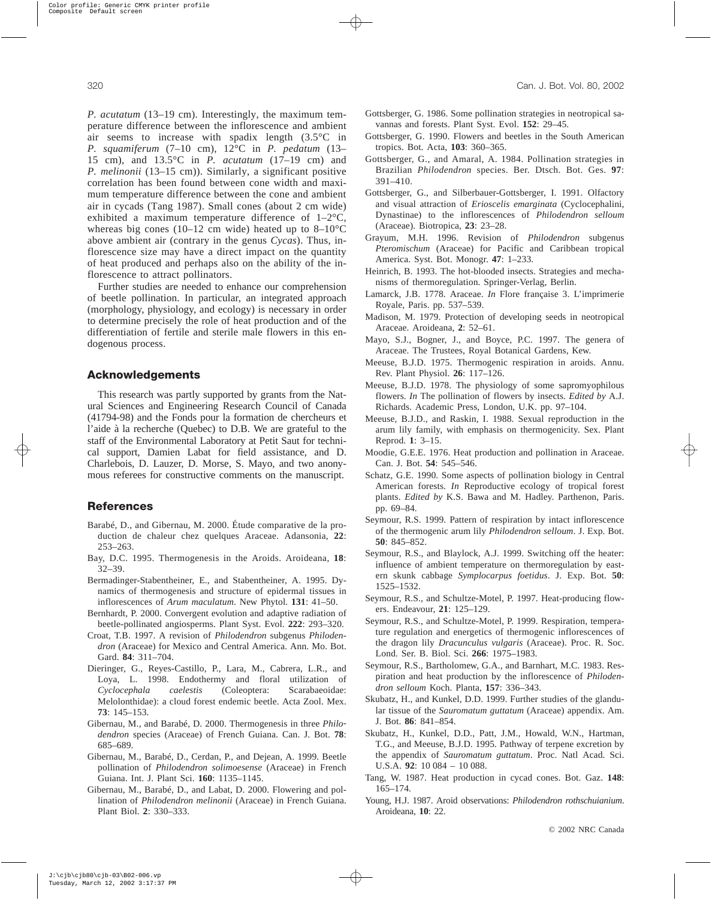*P. acutatum* (13–19 cm). Interestingly, the maximum temperature difference between the inflorescence and ambient air seems to increase with spadix length (3.5°C in *P. squamiferum* (7–10 cm), 12°C in *P. pedatum* (13– 15 cm), and 13.5°C in *P. acutatum* (17–19 cm) and *P. melinonii* (13–15 cm)). Similarly, a significant positive correlation has been found between cone width and maximum temperature difference between the cone and ambient air in cycads (Tang 1987). Small cones (about 2 cm wide) exhibited a maximum temperature difference of 1–2°C, whereas big cones (10–12 cm wide) heated up to  $8-10^{\circ}$ C above ambient air (contrary in the genus *Cycas*). Thus, inflorescence size may have a direct impact on the quantity of heat produced and perhaps also on the ability of the inflorescence to attract pollinators.

Further studies are needed to enhance our comprehension of beetle pollination. In particular, an integrated approach (morphology, physiology, and ecology) is necessary in order to determine precisely the role of heat production and of the differentiation of fertile and sterile male flowers in this endogenous process.

### **Acknowledgements**

This research was partly supported by grants from the Natural Sciences and Engineering Research Council of Canada (41794-98) and the Fonds pour la formation de chercheurs et l'aide à la recherche (Quebec) to D.B. We are grateful to the staff of the Environmental Laboratory at Petit Saut for technical support, Damien Labat for field assistance, and D. Charlebois, D. Lauzer, D. Morse, S. Mayo, and two anonymous referees for constructive comments on the manuscript.

# **References**

- Barabé, D., and Gibernau, M. 2000. Étude comparative de la production de chaleur chez quelques Araceae. Adansonia, **22**: 253–263.
- Bay, D.C. 1995. Thermogenesis in the Aroids. Aroideana, **18**: 32–39.
- Bermadinger-Stabentheiner, E., and Stabentheiner, A. 1995. Dynamics of thermogenesis and structure of epidermal tissues in inflorescences of *Arum maculatum*. New Phytol. **131**: 41–50.
- Bernhardt, P. 2000. Convergent evolution and adaptive radiation of beetle-pollinated angiosperms. Plant Syst. Evol. **222**: 293–320.
- Croat, T.B. 1997. A revision of *Philodendron* subgenus *Philodendron* (Araceae) for Mexico and Central America. Ann. Mo. Bot. Gard. **84**: 311–704.
- Dieringer, G., Reyes-Castillo, P., Lara, M., Cabrera, L.R., and Loya, L. 1998. Endothermy and floral utilization of *Cyclocephala caelestis* (Coleoptera: Scarabaeoidae: Melolonthidae): a cloud forest endemic beetle. Acta Zool. Mex. **73**: 145–153.
- Gibernau, M., and Barabé, D. 2000. Thermogenesis in three *Philodendron* species (Araceae) of French Guiana. Can. J. Bot. **78**: 685–689.
- Gibernau, M., Barabé, D., Cerdan, P., and Dejean, A. 1999. Beetle pollination of *Philodendron solimoesense* (Araceae) in French Guiana. Int. J. Plant Sci. **160**: 1135–1145.
- Gibernau, M., Barabé, D., and Labat, D. 2000. Flowering and pollination of *Philodendron melinonii* (Araceae) in French Guiana. Plant Biol. **2**: 330–333.
- Gottsberger, G. 1986. Some pollination strategies in neotropical savannas and forests. Plant Syst. Evol. **152**: 29–45.
- Gottsberger, G. 1990. Flowers and beetles in the South American tropics. Bot. Acta, **103**: 360–365.
- Gottsberger, G., and Amaral, A. 1984. Pollination strategies in Brazilian *Philodendron* species. Ber. Dtsch. Bot. Ges. **97**: 391–410.
- Gottsberger, G., and Silberbauer-Gottsberger, I. 1991. Olfactory and visual attraction of *Erioscelis emarginata* (Cyclocephalini, Dynastinae) to the inflorescences of *Philodendron selloum* (Araceae). Biotropica, **23**: 23–28.
- Grayum, M.H. 1996. Revision of *Philodendron* subgenus *Pteromischum* (Araceae) for Pacific and Caribbean tropical America. Syst. Bot. Monogr. **47**: 1–233.
- Heinrich, B. 1993. The hot-blooded insects. Strategies and mechanisms of thermoregulation. Springer-Verlag, Berlin.
- Lamarck, J.B. 1778. Araceae. *In* Flore française 3. L'imprimerie Royale, Paris. pp. 537–539.
- Madison, M. 1979. Protection of developing seeds in neotropical Araceae. Aroideana, **2**: 52–61.
- Mayo, S.J., Bogner, J., and Boyce, P.C. 1997. The genera of Araceae. The Trustees, Royal Botanical Gardens, Kew.
- Meeuse, B.J.D. 1975. Thermogenic respiration in aroids. Annu. Rev. Plant Physiol. **26**: 117–126.
- Meeuse, B.J.D. 1978. The physiology of some sapromyophilous flowers. *In* The pollination of flowers by insects. *Edited by* A.J. Richards. Academic Press, London, U.K. pp. 97–104.
- Meeuse, B.J.D., and Raskin, I. 1988. Sexual reproduction in the arum lily family, with emphasis on thermogenicity. Sex. Plant Reprod. **1**: 3–15.
- Moodie, G.E.E. 1976. Heat production and pollination in Araceae. Can. J. Bot. **54**: 545–546.
- Schatz, G.E. 1990. Some aspects of pollination biology in Central American forests. *In* Reproductive ecology of tropical forest plants. *Edited by* K.S. Bawa and M. Hadley. Parthenon, Paris. pp. 69–84.
- Seymour, R.S. 1999. Pattern of respiration by intact inflorescence of the thermogenic arum lily *Philodendron selloum*. J. Exp. Bot. **50**: 845–852.
- Seymour, R.S., and Blaylock, A.J. 1999. Switching off the heater: influence of ambient temperature on thermoregulation by eastern skunk cabbage *Symplocarpus foetidus*. J. Exp. Bot. **50**: 1525–1532.
- Seymour, R.S., and Schultze-Motel, P. 1997. Heat-producing flowers. Endeavour, **21**: 125–129.
- Seymour, R.S., and Schultze-Motel, P. 1999. Respiration, temperature regulation and energetics of thermogenic inflorescences of the dragon lily *Dracunculus vulgaris* (Araceae). Proc. R. Soc. Lond. Ser. B. Biol. Sci. **266**: 1975–1983.
- Seymour, R.S., Bartholomew, G.A., and Barnhart, M.C. 1983. Respiration and heat production by the inflorescence of *Philodendron selloum* Koch. Planta, **157**: 336–343.
- Skubatz, H., and Kunkel, D.D. 1999. Further studies of the glandular tissue of the *Sauromatum guttatum* (Araceae) appendix. Am. J. Bot. **86**: 841–854.
- Skubatz, H., Kunkel, D.D., Patt, J.M., Howald, W.N., Hartman, T.G., and Meeuse, B.J.D. 1995. Pathway of terpene excretion by the appendix of *Sauromatum guttatum*. Proc. Natl Acad. Sci. U.S.A. **92**: 10 084 – 10 088.
- Tang, W. 1987. Heat production in cycad cones. Bot. Gaz. **148**: 165–174.
- Young, H.J. 1987. Aroid observations: *Philodendron rothschuianium*. Aroideana, **10**: 22.